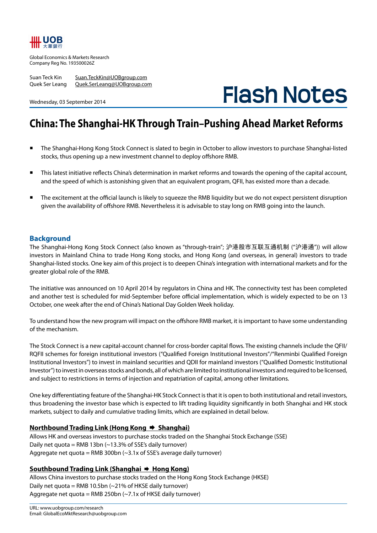

Global Economics & Markets Research Company Reg No. 193500026Z

Wednesday, 03 September 2014

Suan Teck Kin Suan.TeckKin@UOBgroup.com Quek Ser Leang Quek.SerLeang@UOBgroup.com

**Flash Notes**

# **China: The Shanghai-HK Through Train–Pushing Ahead Market Reforms**

- The Shanghai-Hong Kong Stock Connect is slated to begin in October to allow investors to purchase Shanghai-listed stocks, thus opening up a new investment channel to deploy offshore RMB.
- This latest initiative reflects China's determination in market reforms and towards the opening of the capital account, and the speed of which is astonishing given that an equivalent program, QFII, has existed more than a decade.
- The excitement at the official launch is likely to squeeze the RMB liquidity but we do not expect persistent disruption given the availability of offshore RMB. Nevertheless it is advisable to stay long on RMB going into the launch.

# **Background**

The Shanghai-Hong Kong Stock Connect (also known as "through-train"; 沪港股市互联互通机制 ("沪港通")) will allow investors in Mainland China to trade Hong Kong stocks, and Hong Kong (and overseas, in general) investors to trade Shanghai-listed stocks. One key aim of this project is to deepen China's integration with international markets and for the greater global role of the RMB.

The initiative was announced on 10 April 2014 by regulators in China and HK. The connectivity test has been completed and another test is scheduled for mid-September before official implementation, which is widely expected to be on 13 October, one week after the end of China's National Day Golden Week holiday.

To understand how the new program will impact on the offshore RMB market, it is important to have some understanding of the mechanism.

The Stock Connect is a new capital-account channel for cross-border capital flows. The existing channels include the QFII/ RQFII schemes for foreign institutional investors ("Qualified Foreign Institutional Investors"/"Renminbi Qualified Foreign Institutional Investors") to invest in mainland securities and QDII for mainland investors ("Qualified Domestic Institutional Investor") to invest in overseas stocks and bonds, all of which are limited to institutional investors and required to be licensed, and subject to restrictions in terms of injection and repatriation of capital, among other limitations.

One key differentiating feature of the Shanghai-HK Stock Connect is that it is open to both institutional and retail investors, thus broadening the investor base which is expected to lift trading liquidity significantly in both Shanghai and HK stock markets, subject to daily and cumulative trading limits, which are explained in detail below.

# **Northbound Trading Link (Hong Kong → Shanghai)**

Allows HK and overseas investors to purchase stocks traded on the Shanghai Stock Exchange (SSE) Daily net quota = RMB 13bn  $(-13.3\%$  of SSE's daily turnover) Aggregate net quota = RMB 300bn  $(\sim$ 3.1x of SSE's average daily turnover)

# Southbound Trading Link (Shanghai → Hong Kong)

Allows China investors to purchase stocks traded on the Hong Kong Stock Exchange (HKSE) Daily net quota = RMB 10.5bn ( $\sim$ 21% of HKSE daily turnover) Aggregate net quota = RMB 250bn (~7.1x of HKSE daily turnover)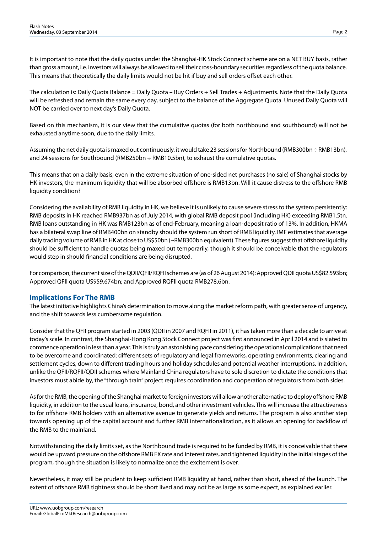It is important to note that the daily quotas under the Shanghai-HK Stock Connect scheme are on a NET BUY basis, rather than gross amount, i.e. investors will always be allowed to sell their cross-boundary securities regardless of the quota balance. This means that theoretically the daily limits would not be hit if buy and sell orders offset each other.

The calculation is: Daily Quota Balance = Daily Quota – Buy Orders + Sell Trades + Adjustments. Note that the Daily Quota will be refreshed and remain the same every day, subject to the balance of the Aggregate Quota. Unused Daily Quota will NOT be carried over to next day's Daily Quota.

Based on this mechanism, it is our view that the cumulative quotas (for both northbound and southbound) will not be exhausted anytime soon, due to the daily limits.

Assuming the net daily quota is maxed out continuously, it would take 23 sessions for Northbound (RMB300bn ÷ RMB13bn), and 24 sessions for Southbound (RMB250bn  $\div$  RMB10.5bn), to exhaust the cumulative quotas.

This means that on a daily basis, even in the extreme situation of one-sided net purchases (no sale) of Shanghai stocks by HK investors, the maximum liquidity that will be absorbed offshore is RMB13bn. Will it cause distress to the offshore RMB liquidity condition?

Considering the availability of RMB liquidity in HK, we believe it is unlikely to cause severe stress to the system persistently: RMB deposits in HK reached RMB937bn as of July 2014, with global RMB deposit pool (including HK) exceeding RMB1.5tn. RMB loans outstanding in HK was RMB123bn as of end-February, meaning a loan-deposit ratio of 13%. In addition, HKMA has a bilateral swap line of RMB400bn on standby should the system run short of RMB liquidity. IMF estimates that average daily trading volume of RMB in HK at close to US\$50bn (~RMB300bn equivalent). These figures suggest that offshore liquidity should be sufficient to handle quotas being maxed out temporarily, though it should be conceivable that the regulators would step in should financial conditions are being disrupted.

For comparison, the current size of the QDII/QFII/RQFII schemes are (as of 26 August 2014): Approved QDII quota US\$82.593bn; Approved QFII quota US\$59.674bn; and Approved RQFII quota RMB278.6bn.

# **Implications For The RMB**

The latest initiative highlights China's determination to move along the market reform path, with greater sense of urgency, and the shift towards less cumbersome regulation.

Consider that the QFII program started in 2003 (QDII in 2007 and RQFII in 2011), it has taken more than a decade to arrive at today's scale. In contrast, the Shanghai-Hong Kong Stock Connect project was first announced in April 2014 and is slated to commence operation in less than a year. This is truly an astonishing pace considering the operational complications that need to be overcome and coordinated: different sets of regulatory and legal frameworks, operating environments, clearing and settlement cycles, down to different trading hours and holiday schedules and potential weather interruptions. In addition, unlike the QFII/RQFII/QDII schemes where Mainland China regulators have to sole discretion to dictate the conditions that investors must abide by, the "through train" project requires coordination and cooperation of regulators from both sides.

As for the RMB, the opening of the Shanghai market to foreign investors will allow another alternative to deploy offshore RMB liquidity, in addition to the usual loans, insurance, bond, and other investment vehicles. This will increase the attractiveness to for offshore RMB holders with an alternative avenue to generate yields and returns. The program is also another step towards opening up of the capital account and further RMB internationalization, as it allows an opening for backflow of the RMB to the mainland.

Notwithstanding the daily limits set, as the Northbound trade is required to be funded by RMB, it is conceivable that there would be upward pressure on the offshore RMB FX rate and interest rates, and tightened liquidity in the initial stages of the program, though the situation is likely to normalize once the excitement is over.

Nevertheless, it may still be prudent to keep sufficient RMB liquidity at hand, rather than short, ahead of the launch. The extent of offshore RMB tightness should be short lived and may not be as large as some expect, as explained earlier.